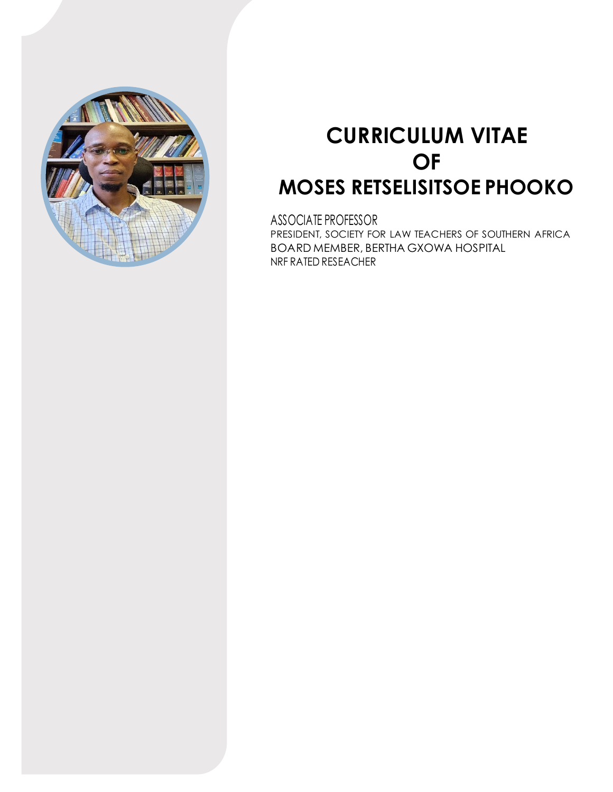

# **CURRICULUM VITAE OF MOSES RETSELISITSOE PHOOKO**

ASSOCIATE PROFESSOR PRESIDENT, SOCIETY FOR LAW TEACHERS OF SOUTHERN AFRICA BOARD MEMBER, BERTHA GXOWA HOSPITAL NRF RATED RESEACHER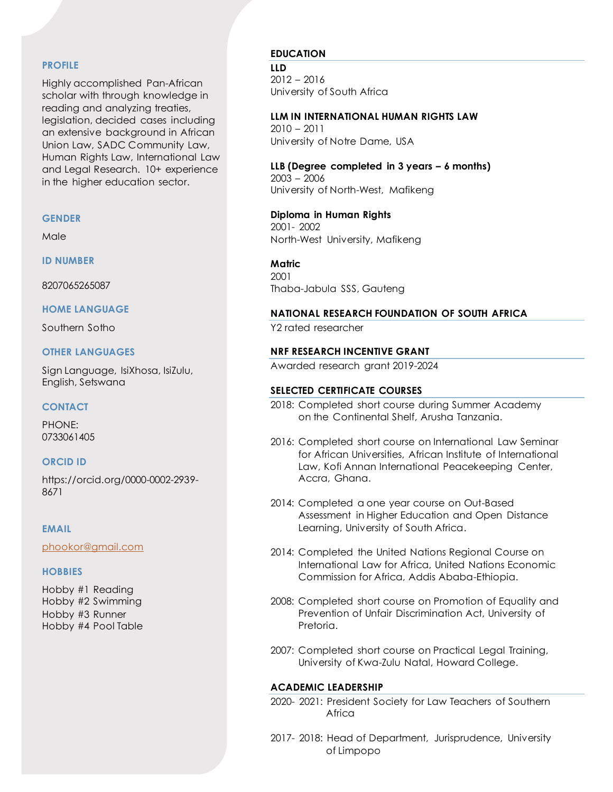## **PROFILE**

Highly accomplished Pan-African scholar with through knowledge in reading and analyzing treaties, legislation, decided cases including an extensive background in African Union Law, SADC Community Law, Human Rights Law, International Law and Legal Research. 10+ experience in the higher education sector.

#### **GENDER**

Male

**ID NUMBER**

8207065265087

**HOME LANGUAGE**

Southern Sotho

# **OTHER LANGUAGES**

Sign Language, IsiXhosa, IsiZulu, English, Setswana

# **CONTACT**

PHONE: 0733061405

# **ORCID ID**

https://orcid.org/0000-0002-2939- 8671

# **EMAIL**

[phookor@gmail.com](mailto:phookor@gmail.com)

# **HOBBIES**

Hobby #1 Reading Hobby #2 Swimming Hobby #3 Runner Hobby #4 Pool Table

# **EDUCATION**

**LLD** 2012 – 2016 University of South Africa

# **LLM IN INTERNATIONAL HUMAN RIGHTS LAW**

2010 – 2011 University of Notre Dame, USA

# **LLB (Degree completed in 3 years – 6 months)** 2003 – 2006

University of North-West, Mafikeng

# **Diploma in Human Rights** 2001- 2002 North-West University, Mafikeng

**Matric** 2001 Thaba-Jabula SSS, Gauteng

# **NATIONAL RESEARCH FOUNDATION OF SOUTH AFRICA**

Y2 rated researcher

# **NRF RESEARCH INCENTIVE GRANT**

Awarded research grant 2019-2024

# **SELECTED CERTIFICATE COURSES**

- 2018: Completed short course during Summer Academy on the Continental Shelf, Arusha Tanzania.
- 2016: Completed short course on International Law Seminar for African Universities, African Institute of International Law, Kofi Annan International Peacekeeping Center, Accra, Ghana.
- 2014: Completed a one year course on Out-Based Assessment in Higher Education and Open Distance Learning, University of South Africa.
- 2014: Completed the United Nations Regional Course on International Law for Africa, United Nations Economic Commission for Africa, Addis Ababa-Ethiopia.
- 2008: Completed short course on Promotion of Equality and Prevention of Unfair Discrimination Act, University of Pretoria.
- 2007: Completed short course on Practical Legal Training, University of Kwa-Zulu Natal, Howard College.

# **ACADEMIC LEADERSHIP**

- 2020- 2021: President Society for Law Teachers of Southern Africa
- 2017- 2018: Head of Department, Jurisprudence, University of Limpopo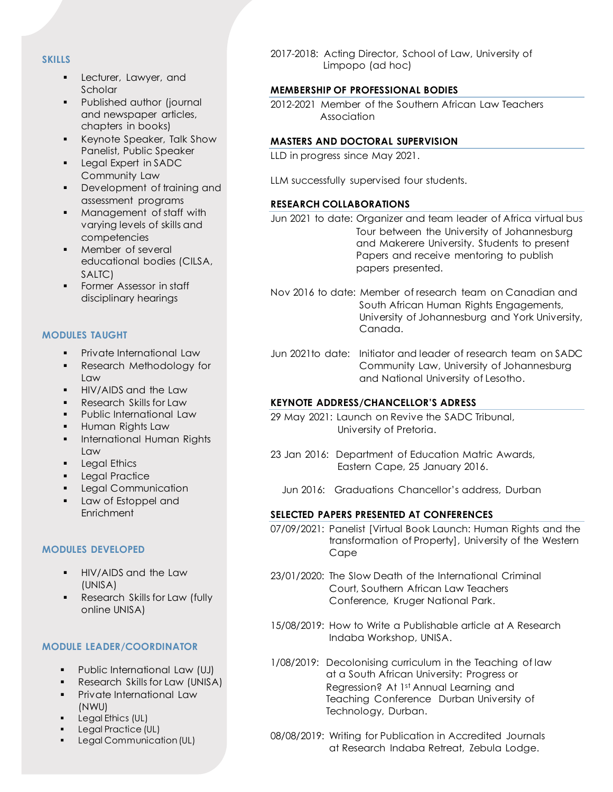# **SKILLS**

- **•** Lecturer, Lawyer, and **Scholar**
- Published author (journal and newspaper articles, chapters in books)
- Keynote Speaker, Talk Show Panelist, Public Speaker
- Legal Expert in SADC Community Law
- Development of training and assessment programs
- Management of staff with varying levels of skills and competencies
- Member of several educational bodies (CILSA, SALTC)
- **•** Former Assessor in staff disciplinary hearings

# **MODULES TAUGHT**

- Private International Law
- **•** Research Methodology for Law
- **HIV/AIDS and the Law**
- Research Skills for Law
- Public International Law
- **.** Human Rights Law
- **·** International Human Rights Law
- **•** Legal Ethics
- **•** Legal Practice
- **Legal Communication**
- Law of Estoppel and **Enrichment**

# **MODULES DEVELOPED**

- **•** HIV/AIDS and the Law (UNISA)
- **•** Research Skills for Law (fully online UNISA)

# **MODULE LEADER/COORDINATOR**

- Public International Law (UJ)
- **•** Research Skills for Law (UNISA)
- **•** Private International Law (NWU)
- **•** Legal Ethics (UL)
- Legal Practice (UL)
- Legal Communication (UL)

2017-2018: Acting Director, School of Law, University of Limpopo (ad hoc)

# **MEMBERSHIP OF PROFESSIONAL BODIES**

2012-2021 Member of the Southern African Law Teachers Association

# **MASTERS AND DOCTORAL SUPERVISION**

LLD in progress since May 2021.

LLM successfully supervised four students.

# **RESEARCH COLLABORATIONS**

Jun 2021 to date: Organizer and team leader of Africa virtual bus Tour between the University of Johannesburg and Makerere University. Students to present Papers and receive mentoring to publish papers presented.

- Nov 2016 to date: Member of research team on Canadian and South African Human Rights Engagements, University of Johannesburg and York University, Canada.
- Jun 2021to date: Initiator and leader of research team on SADC Community Law, University of Johannesburg and National University of Lesotho.

# **KEYNOTE ADDRESS/CHANCELLOR'S ADRESS**

- 29 May 2021: Launch on Revive the SADC Tribunal, University of Pretoria.
- 23 Jan 2016: Department of Education Matric Awards, Eastern Cape, 25 January 2016.
	- Jun 2016: Graduations Chancellor's address, Durban

# **SELECTED PAPERS PRESENTED AT CONFERENCES**

- 07/09/2021: Panelist [Virtual Book Launch: Human Rights and the transformation of Property], University of the Western Cape
- 23/01/2020: The Slow Death of the International Criminal Court, Southern African Law Teachers Conference, Kruger National Park.
- 15/08/2019: How to Write a Publishable article at A Research Indaba Workshop, UNISA.
- 1/08/2019: Decolonising curriculum in the Teaching of law at a South African University: Progress or Regression? At 1st Annual Learning and Teaching Conference Durban University of Technology, Durban.
- 08/08/2019: Writing for Publication in Accredited Journals at Research Indaba Retreat, Zebula Lodge.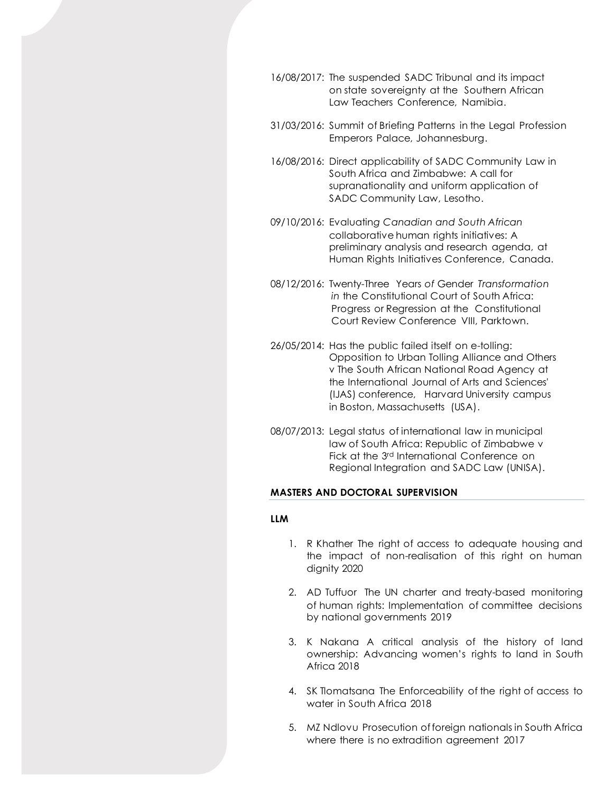- 16/08/2017: The suspended SADC Tribunal and its impact on state sovereignty at the Southern African Law Teachers Conference, Namibia.
- 31/03/2016: Summit of Briefing Patterns in the Legal Profession Emperors Palace, Johannesburg.
- 16/08/2016: Direct applicability of SADC Community Law in South Africa and Zimbabwe: A call for supranationality and uniform application of SADC Community Law, Lesotho.
- 09/10/2016: Evaluatin*g Canadian and South African* collaborative human rights initiatives: A preliminary analysis and research agenda, at Human Rights Initiatives Conference, Canada.
- 08/12/2016: Twenty*-*Three Years *of* Gender *Transformation in* the Constitutional Court of South Africa: Progress or Regression at the Constitutional Court Review Conference VIII, Parktown.
- 26/05/2014: Has the public failed itself on e-tolling: Opposition to Urban Tolling Alliance and Others v The South African National Road Agency at the International Journal of Arts and Sciences' (IJAS) conference, Harvard University campus in Boston, Massachusetts (USA).
- 08/07/2013: Legal status of international law in municipal law of South Africa: Republic of Zimbabwe v Fick at the 3rd International Conference on Regional Integration and SADC Law (UNISA).

# **MASTERS AND DOCTORAL SUPERVISION**

#### **LLM**

- 1. R Khather The right of access to adequate housing and the impact of non-realisation of this right on human dignity 2020
- 2. AD Tuffuor The UN charter and treaty-based monitoring of human rights: Implementation of committee decisions by national governments 2019
- 3. K Nakana A critical analysis of the history of land ownership: Advancing women's rights to land in South Africa 2018
- 4. SK Tlomatsana The Enforceability of the right of access to water in South Africa 2018
- 5. MZ Ndlovu Prosecution of foreign nationals in South Africa where there is no extradition agreement 2017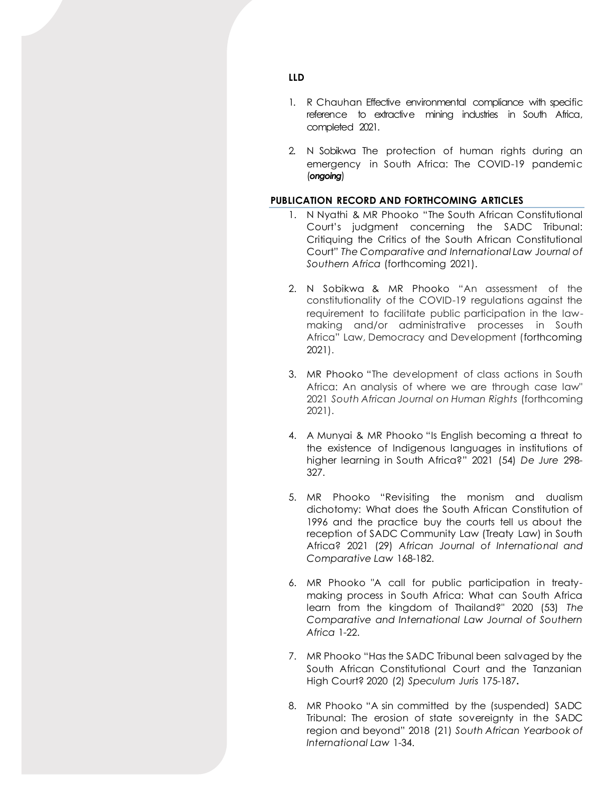- 1. R Chauhan Effective environmental compliance with specific reference to extractive mining industries in South Africa, completed 2021.
- 2. N Sobikwa The protection of human rights during an emergency in South Africa: The COVID-19 pandemic (*ongoing*)

# **PUBLICATION RECORD AND FORTHCOMING ARTICLES**

- 1. N Nyathi & MR Phooko "The South African Constitutional Court's judgment concerning the SADC Tribunal: Critiquing the Critics of the South African Constitutional Court" *The Comparative and International Law Journal of Southern Africa* (forthcoming 2021).
- 2. N Sobikwa & MR Phooko "An assessment of the constitutionality of the COVID-19 regulations against the requirement to facilitate public participation in the lawmaking and/or administrative processes in South Africa" Law, Democracy and Development (forthcoming 2021).
- 3. MR Phooko "The development of class actions in South Africa: An analysis of where we are through case law" 2021 *South African Journal on Human Rights* (forthcoming 2021).
- 4. A Munyai & MR Phooko "Is English becoming a threat to the existence of Indigenous languages in institutions of higher learning in South Africa?" 2021 (54) *De Jure* 298- 327.
- 5. MR Phooko "Revisiting the monism and dualism dichotomy: What does the South African Constitution of 1996 and the practice buy the courts tell us about the reception of SADC Community Law (Treaty Law) in South Africa? 2021 (29) *African Journal of International and Comparative Law* 168-182.
- 6. MR Phooko "A call for public participation in treatymaking process in South Africa: What can South Africa learn from the kingdom of Thailand?" 2020 (53) *The Comparative and International Law Journal of Southern Africa* 1-22.
- 7. MR Phooko "Has the SADC Tribunal been salvaged by the South African Constitutional Court and the Tanzanian High Court? 2020 (2) *Speculum Juris* 175-187**.**
- 8. MR Phooko "A sin committed by the (suspended) SADC Tribunal: The erosion of state sovereignty in the SADC region and beyond" 2018 (21) *South African Yearbook of International Law* 1-34.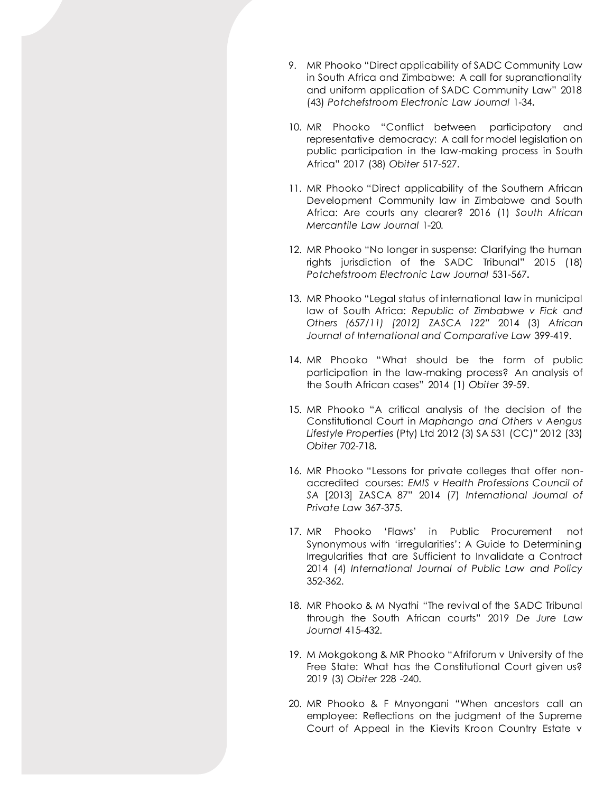- 9. MR Phooko "Direct applicability of SADC Community Law in South Africa and Zimbabwe: A call for supranationality and uniform application of SADC Community Law" 2018 (43) *Potchefstroom Electronic Law Journal* 1-34**.**
- 10. MR Phooko "Conflict between participatory and representative democracy: A call for model legislation on public participation in the law-making process in South Africa" 2017 (38) *Obiter* 517-527.
- 11. MR Phooko "Direct applicability of the Southern African Development Community law in Zimbabwe and South Africa: Are courts any clearer? 2016 (1) *South African Mercantile Law Journal* 1-20*.*
- 12. MR Phooko "No longer in suspense: Clarifying the human rights jurisdiction of the SADC Tribunal" 2015 (18) *Potchefstroom Electronic Law Journal* 531-567**.**
- 13. MR Phooko "Legal status of international law in municipal law of South Africa: *Republic of Zimbabwe v Fick and Others (657/11) [2012] ZASCA 122"* 2014 (3) *African Journal of International and Comparative Law* 399-419.
- 14. MR Phooko "What should be the form of public participation in the law-making process? An analysis of the South African cases" 2014 (1) *Obiter* 39-59.
- 15. MR Phooko "A critical analysis of the decision of the Constitutional Court in *Maphango and Others v Aengus Lifestyle Properties* (Pty) Ltd 2012 (3) SA 531 (CC)" 2012 (33) *Obiter* 702-718**.**
- 16. MR Phooko "Lessons for private colleges that offer nonaccredited courses: *EMIS v Health Professions Council of SA* [2013] ZASCA 87" 2014 (7) *International Journal of Private Law* 367-375.
- 17. MR Phooko 'Flaws' in Public Procurement not Synonymous with 'irregularities': A Guide to Determining Irregularities that are Sufficient to Invalidate a Contract 2014 (4) *International Journal of Public Law and Policy* 352-362.
- 18. MR Phooko & M Nyathi "The revival of the SADC Tribunal through the South African courts" 2019 *De Jure Law Journal* 415-432.
- 19. M Mokgokong & MR Phooko "Afriforum v University of the Free State: What has the Constitutional Court given us? 2019 (3) *Obiter* 228 -240.
- 20. MR Phooko & F Mnyongani "When ancestors call an employee: Reflections on the judgment of the Supreme Court of Appeal in the Kievits Kroon Country Estate v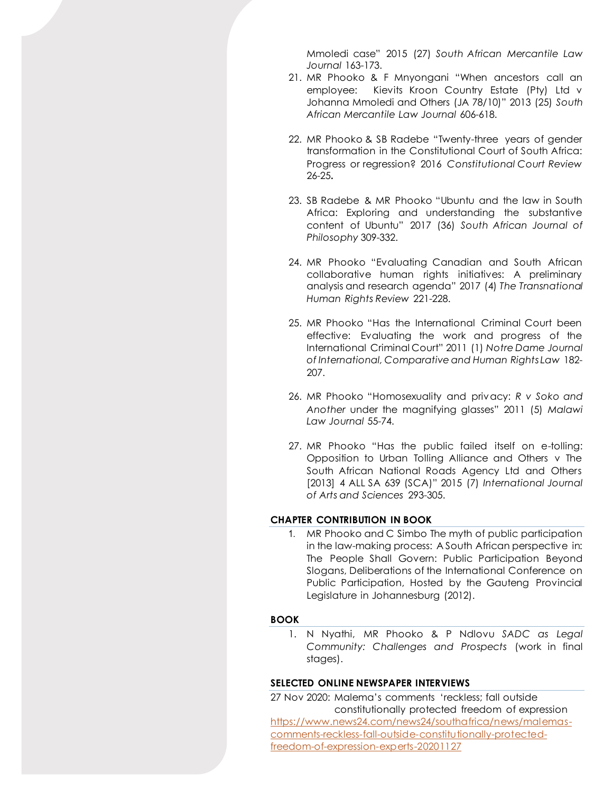Mmoledi case" 2015 (27) *South African Mercantile Law Journal* 163-173.

- 21. MR Phooko & F Mnyongani "When ancestors call an employee: Kievits Kroon Country Estate (Pty) Ltd v Johanna Mmoledi and Others (JA 78/10)" 2013 (25) *South African Mercantile Law Journal* 606-618.
- 22. MR Phooko & SB Radebe "Twenty-three years of gender transformation in the Constitutional Court of South Africa: Progress or regression? 2016 *Constitutional Court Review* 26-25**.**
- 23. SB Radebe & MR Phooko "Ubuntu and the law in South Africa: Exploring and understanding the substantive content of Ubuntu" 2017 (36) *South African Journal of Philosophy* 309-332.
- 24. MR Phooko "Evaluating Canadian and South African collaborative human rights initiatives: A preliminary analysis and research agenda" 2017 (4) *The Transnational Human Rights Review* 221-228.
- 25. MR Phooko "Has the International Criminal Court been effective: Evaluating the work and progress of the International Criminal Court" 2011 (1) *Notre Dame Journal of International, Comparative and Human Rights Law* 182- 207.
- 26. MR Phooko "Homosexuality and privacy: *R v Soko and Another* under the magnifying glasses" 2011 (5) *Malawi Law Journal* 55-74.
- 27. MR Phooko "Has the public failed itself on e-tolling: Opposition to Urban Tolling Alliance and Others v The South African National Roads Agency Ltd and Others [2013] 4 ALL SA 639 (SCA)" 2015 (7) *International Journal of Arts and Sciences* 293-305.

# **CHAPTER CONTRIBUTION IN BOOK**

1. MR Phooko and C Simbo The myth of public participation in the law-making process: A South African perspective in: The People Shall Govern: Public Participation Beyond Slogans, Deliberations of the International Conference on Public Participation, Hosted by the Gauteng Provincial Legislature in Johannesburg (2012).

# **BOOK**

1. N Nyathi, MR Phooko & P Ndlovu *SADC as Legal Community: Challenges and Prospects* (work in final stages).

# **SELECTED ONLINE NEWSPAPER INTERVIEWS**

27 Nov 2020: Malema's comments 'reckless; fall outside constitutionally protected freedom of expression [https://www.news24.com/news24/southafrica/news/malemas](https://www.news24.com/news24/southafrica/news/malemas-comments-reckless-fall-outside-constitutionally-protected-freedom-of-expression-experts-20201127)[comments-reckless-fall-outside-constitutionally-protected](https://www.news24.com/news24/southafrica/news/malemas-comments-reckless-fall-outside-constitutionally-protected-freedom-of-expression-experts-20201127)[freedom-of-expression-experts-20201127](https://www.news24.com/news24/southafrica/news/malemas-comments-reckless-fall-outside-constitutionally-protected-freedom-of-expression-experts-20201127)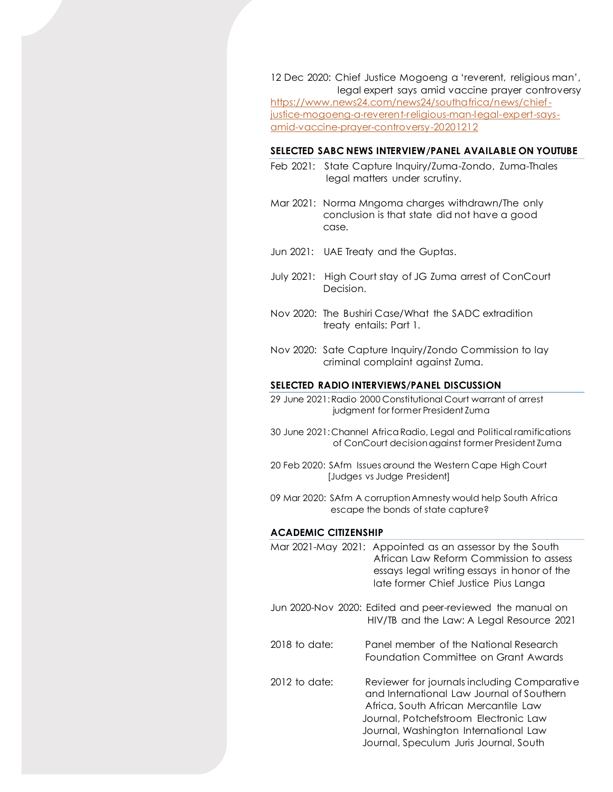12 Dec 2020: Chief Justice Mogoeng a 'reverent, religious man', legal expert says amid vaccine prayer controversy [https://www.news24.com/news24/southafrica/news/chief](https://www.news24.com/news24/southafrica/news/chief-justice-mogoeng-a-reverent-religious-man-legal-expert-says-amid-vaccine-prayer-controversy-20201212)[justice-mogoeng-a-reverent-religious-man-legal-expert-says](https://www.news24.com/news24/southafrica/news/chief-justice-mogoeng-a-reverent-religious-man-legal-expert-says-amid-vaccine-prayer-controversy-20201212)[amid-vaccine-prayer-controversy-20201212](https://www.news24.com/news24/southafrica/news/chief-justice-mogoeng-a-reverent-religious-man-legal-expert-says-amid-vaccine-prayer-controversy-20201212)

#### **SELECTED SABC NEWS INTERVIEW/PANEL AVAILABLE ON YOUTUBE**

- Feb 2021: State Capture Inquiry/Zuma-Zondo, Zuma-Thales legal matters under scrutiny.
- Mar 2021: Norma Mngoma charges withdrawn/The only conclusion is that state did not have a good case.

Jun 2021: UAE Treaty and the Guptas.

- July 2021: High Court stay of JG Zuma arrest of ConCourt Decision.
- Nov 2020: The Bushiri Case/What the SADC extradition treaty entails: Part 1.
- Nov 2020: Sate Capture Inquiry/Zondo Commission to lay criminal complaint against Zuma.

#### **SELECTED RADIO INTERVIEWS/PANEL DISCUSSION**

- 29 June 2021: Radio 2000 Constitutional Court warrant of arrest judgment for former President Zuma
- 30 June 2021: Channel Africa Radio, Legal and Political ramifications of ConCourt decision against former President Zuma
- 20 Feb 2020: SAfm Issues around the Western Cape High Court [Judges vs Judge President]
- 09 Mar 2020: SAfm A corruption Amnesty would help South Africa escape the bonds of state capture?

#### **ACADEMIC CITIZENSHIP**

|                 | Mar 2021-May 2021: Appointed as an assessor by the South<br>African Law Reform Commission to assess<br>essays legal writing essays in honor of the<br>late former Chief Justice Pius Langa                                                                   |
|-----------------|--------------------------------------------------------------------------------------------------------------------------------------------------------------------------------------------------------------------------------------------------------------|
|                 | Jun 2020-Nov 2020: Edited and peer-reviewed the manual on<br>HIV/TB and the Law: A Legal Resource 2021                                                                                                                                                       |
| $2018$ to date: | Panel member of the National Research<br>Foundation Committee on Grant Awards                                                                                                                                                                                |
| $2012$ to date: | Reviewer for journals including Comparative<br>and International Law Journal of Southern<br>Africa, South African Mercantile Law<br>Journal, Potchefstroom Electronic Law<br>Journal, Washington International Law<br>Journal, Speculum Juris Journal, South |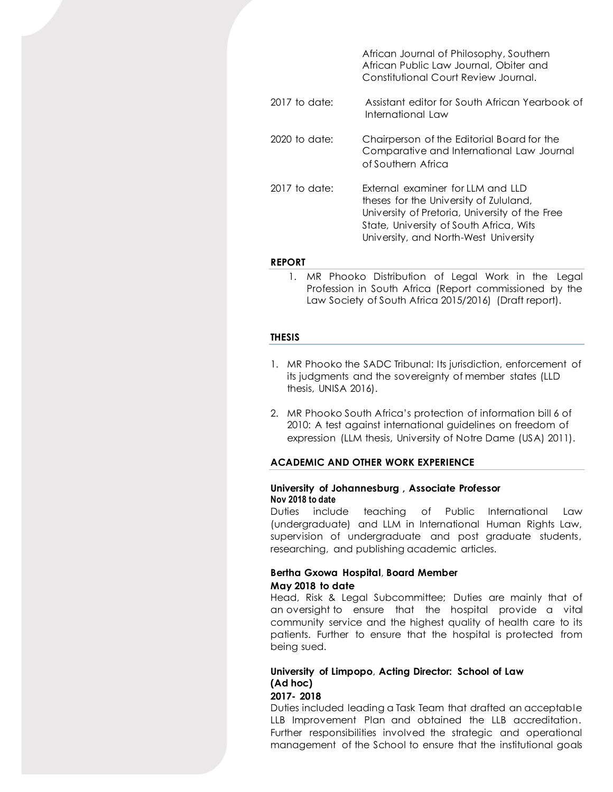|                 | African Journal of Philosophy, Southern<br>African Public Law Journal, Obiter and<br>Constitutional Court Review Journal.                                                                                         |
|-----------------|-------------------------------------------------------------------------------------------------------------------------------------------------------------------------------------------------------------------|
| $2017$ to date: | Assistant editor for South African Yearbook of<br>International Law                                                                                                                                               |
| $2020$ to date: | Chairperson of the Editorial Board for the<br>Comparative and International Law Journal<br>of Southern Africa                                                                                                     |
| $2017$ to date: | External examiner for IIM and IID<br>theses for the University of Zululand,<br>University of Pretoria, University of the Free<br>State, University of South Africa, Wits<br>University, and North-West University |

#### **REPORT**

1. MR Phooko Distribution of Legal Work in the Legal Profession in South Africa (Report commissioned by the Law Society of South Africa 2015/2016) (Draft report).

#### **THESIS**

- 1. MR Phooko the SADC Tribunal: Its jurisdiction, enforcement of its judgments and the sovereignty of member states (LLD thesis, UNISA 2016).
- 2. MR Phooko South Africa's protection of information bill 6 of 2010: A test against international guidelines on freedom of expression (LLM thesis, University of Notre Dame (USA) 2011).

# **ACADEMIC AND OTHER WORK EXPERIENCE**

## **University of Johannesburg , Associate Professor Nov 2018 to date**

Duties include teaching of Public International Law (undergraduate) and LLM in International Human Rights Law, supervision of undergraduate and post graduate students, researching, and publishing academic articles.

# **Bertha Gxowa Hospital**, **Board Member May 2018 to date**

Head, Risk & Legal Subcommittee; Duties are mainly that of an oversight to ensure that the hospital provide a vital community service and the highest quality of health care to its patients. Further to ensure that the hospital is protected from being sued.

# **University of Limpopo**, **Acting Director: School of Law (Ad hoc)**

# **2017- 2018**

Duties included leading a Task Team that drafted an acceptable LLB Improvement Plan and obtained the LLB accreditation. Further responsibilities involved the strategic and operational management of the School to ensure that the institutional goals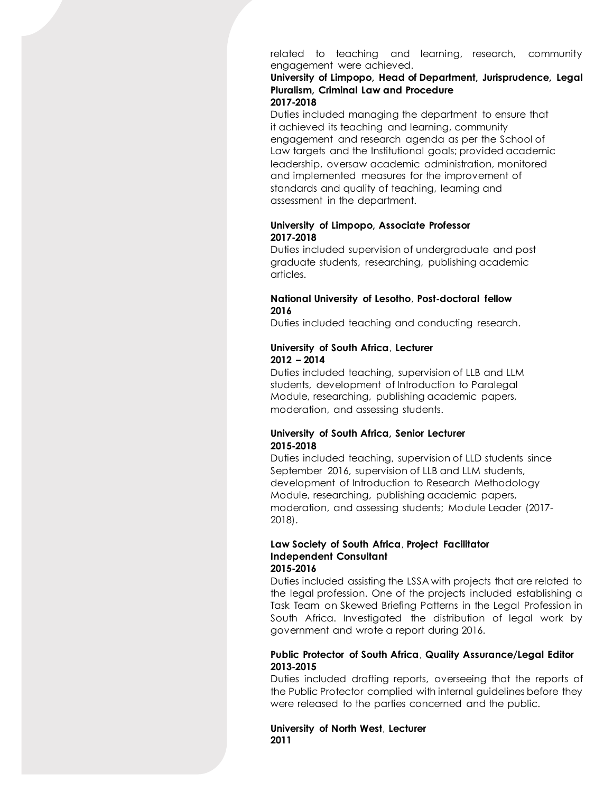related to teaching and learning, research, community engagement were achieved.

#### **University of Limpopo, Head of Department, Jurisprudence, Legal Pluralism, Criminal Law and Procedure 2017-2018**

Duties included managing the department to ensure that it achieved its teaching and learning, community engagement and research agenda as per the School of Law targets and the Institutional goals; provided academic leadership, oversaw academic administration, monitored and implemented measures for the improvement of standards and quality of teaching, learning and assessment in the department.

# **University of Limpopo, Associate Professor 2017-2018**

Duties included supervision of undergraduate and post graduate students, researching, publishing academic articles.

# **National University of Lesotho**, **Post-doctoral fellow 2016**

Duties included teaching and conducting research.

# **University of South Africa**, **Lecturer 2012 – 2014**

Duties included teaching, supervision of LLB and LLM students, development of Introduction to Paralegal Module, researching, publishing academic papers, moderation, and assessing students.

# **University of South Africa, Senior Lecturer 2015-2018**

Duties included teaching, supervision of LLD students since September 2016, supervision of LLB and LLM students, development of Introduction to Research Methodology Module, researching, publishing academic papers, moderation, and assessing students; Module Leader (2017- 2018).

#### **Law Society of South Africa**, **Project Facilitator Independent Consultant 2015-2016**

Duties included assisting the LSSA with projects that are related to the legal profession. One of the projects included establishing a Task Team on Skewed Briefing Patterns in the Legal Profession in South Africa. Investigated the distribution of legal work by government and wrote a report during 2016.

# **Public Protector of South Africa**, **Quality Assurance/Legal Editor 2013-2015**

Duties included drafting reports, overseeing that the reports of the Public Protector complied with internal guidelines before they were released to the parties concerned and the public.

# **University of North West**, **Lecturer 2011**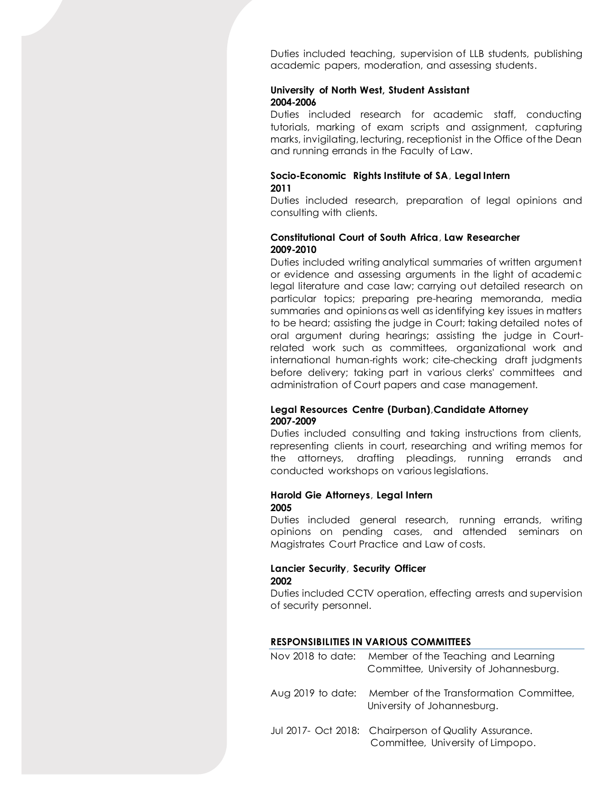Duties included teaching, supervision of LLB students, publishing academic papers, moderation, and assessing students.

## **University of North West, Student Assistant 2004-2006**

Duties included research for academic staff, conducting tutorials, marking of exam scripts and assignment, capturing marks, invigilating, lecturing, receptionist in the Office of the Dean and running errands in the Faculty of Law.

# **Socio-Economic Rights Institute of SA**, **Legal Intern 2011**

Duties included research, preparation of legal opinions and consulting with clients.

# **Constitutional Court of South Africa**, **Law Researcher 2009-2010**

Duties included writing analytical summaries of written argument or evidence and assessing arguments in the light of academic legal literature and case law; carrying out detailed research on particular topics; preparing pre-hearing memoranda, media summaries and opinions as well as identifying key issues in matters to be heard; assisting the judge in Court; taking detailed notes of oral argument during hearings; assisting the judge in Courtrelated work such as committees, organizational work and international human-rights work; cite-checking draft judgments before delivery; taking part in various clerks' committees and administration of Court papers and case management.

# **Legal Resources Centre (Durban)**,**Candidate Attorney 2007-2009**

Duties included consulting and taking instructions from clients, representing clients in court, researching and writing memos for the attorneys, drafting pleadings, running errands and conducted workshops on various legislations.

#### **Harold Gie Attorneys**, **Legal Intern 2005**

Duties included general research, running errands, writing opinions on pending cases, and attended seminars on Magistrates Court Practice and Law of costs.

# **Lancier Security**, **Security Officer 2002**

Duties included CCTV operation, effecting arrests and supervision of security personnel.

# **RESPONSIBILITIES IN VARIOUS COMMITTEES**

| Nov 2018 to date: Member of the Teaching and Learning<br>Committee, University of Johannesburg. |
|-------------------------------------------------------------------------------------------------|
| Aug 0010 to detail Mondage of the Transformation Committee                                      |

- Aug 2019 to date: Member of the Transformation Committee, University of Johannesburg.
- Jul 2017- Oct 2018: Chairperson of Quality Assurance. Committee, University of Limpopo.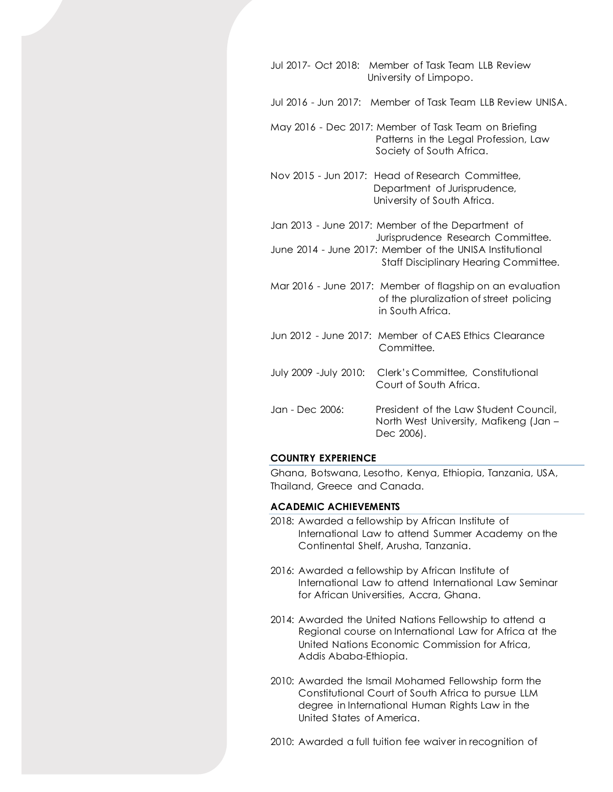- Jul 2017- Oct 2018: Member of Task Team LLB Review University of Limpopo.
- Jul 2016 Jun 2017: Member of Task Team LLB Review UNISA.
- May 2016 Dec 2017: Member of Task Team on Briefing Patterns in the Legal Profession, Law Society of South Africa.
- Nov 2015 Jun 2017: Head of Research Committee, Department of Jurisprudence, University of South Africa.
- Jan 2013 June 2017: Member of the Department of Jurisprudence Research Committee. June 2014 - June 2017: Member of the UNISA Institutional Staff Disciplinary Hearing Committee.
- Mar 2016 June 2017: Member of flagship on an evaluation of the pluralization of street policing in South Africa.
- Jun 2012 June 2017: Member of CAES Ethics Clearance Committee.
- July 2009 -July 2010: Clerk's Committee, Constitutional Court of South Africa.
- Jan Dec 2006: President of the Law Student Council, North West University, Mafikeng (Jan – Dec 2006).

## **COUNTRY EXPERIENCE**

Ghana, Botswana, Lesotho, Kenya, Ethiopia, Tanzania, USA, Thailand, Greece and Canada.

#### **ACADEMIC ACHIEVEMENTS**

- 2018: Awarded a fellowship by African Institute of International Law to attend Summer Academy on the Continental Shelf, Arusha, Tanzania.
- 2016: Awarded a fellowship by African Institute of International Law to attend International Law Seminar for African Universities, Accra, Ghana.
- 2014: Awarded the United Nations Fellowship to attend a Regional course on International Law for Africa at the United Nations Economic Commission for Africa, Addis Ababa-Ethiopia.
- 2010: Awarded the Ismail Mohamed Fellowship form the Constitutional Court of South Africa to pursue LLM degree in International Human Rights Law in the United States of America.
- 2010: Awarded a full tuition fee waiver in recognition of